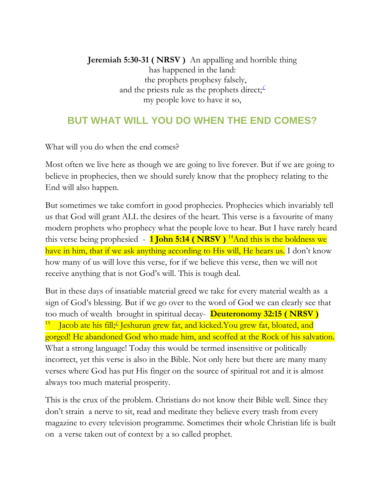**Jeremiah 5:30-31 ( NRSV )** An appalling and horrible thing has happened in the land: the prophets prophesy falsely, and the priests rule as the prophets direct;  $\pm$ my people love to have it so,

## **BUT WHAT WILL YOU DO WHEN THE END COMES?**

What will you do when the end comes?

Most often we live here as though we are going to live forever. But if we are going to believe in prophecies, then we should surely know that the prophecy relating to the End will also happen.

But sometimes we take comfort in good prophecies. Prophecies which invariably tell us that God will grant ALL the desires of the heart. This verse is a favourite of many modern prophets who prophecy what the people love to hear. But I have rarely heard this verse being prophesied  $-1$  **John 5:14 (NRSV)** <sup>14</sup>And this is the boldness we have in him, that if we ask anything according to His will, He hears us. I don't know how many of us will love this verse, for if we believe this verse, then we will not receive anything that is not God's will. This is tough deal.

But in these days of insatiable material greed we take for every material wealth as a sign of God's blessing. But if we go over to the word of God we can clearly see that too much of wealth brought in spiritual decay- **Deuteronomy 32:15 ( NRSV )**  15 ■ Jacob ate his fill; Jeshurun grew fat, and kicked. You grew fat, bloated, and gorged! He abandoned God who made him, and scoffed at the Rock of his salvation. What a strong language! Today this would be termed insensitive or politically incorrect, yet this verse is also in the Bible. Not only here but there are many many verses where God has put His finger on the source of spiritual rot and it is almost always too much material prosperity.

This is the crux of the problem. Christians do not know their Bible well. Since they don't strain a nerve to sit, read and meditate they believe every trash from every magazine to every television programme. Sometimes their whole Christian life is built on a verse taken out of context by a so called prophet.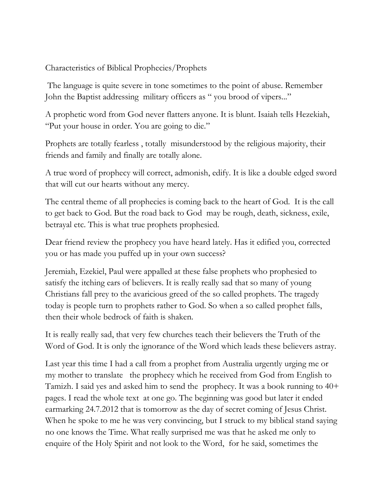## Characteristics of Biblical Prophecies/Prophets

The language is quite severe in tone sometimes to the point of abuse. Remember John the Baptist addressing military officers as " you brood of vipers..."

A prophetic word from God never flatters anyone. It is blunt. Isaiah tells Hezekiah, "Put your house in order. You are going to die."

Prophets are totally fearless , totally misunderstood by the religious majority, their friends and family and finally are totally alone.

A true word of prophecy will correct, admonish, edify. It is like a double edged sword that will cut our hearts without any mercy.

The central theme of all prophecies is coming back to the heart of God. It is the call to get back to God. But the road back to God may be rough, death, sickness, exile, betrayal etc. This is what true prophets prophesied.

Dear friend review the prophecy you have heard lately. Has it edified you, corrected you or has made you puffed up in your own success?

Jeremiah, Ezekiel, Paul were appalled at these false prophets who prophesied to satisfy the itching ears of believers. It is really really sad that so many of young Christians fall prey to the avaricious greed of the so called prophets. The tragedy today is people turn to prophets rather to God. So when a so called prophet falls, then their whole bedrock of faith is shaken.

It is really really sad, that very few churches teach their believers the Truth of the Word of God. It is only the ignorance of the Word which leads these believers astray.

Last year this time I had a call from a prophet from Australia urgently urging me or my mother to translate the prophecy which he received from God from English to Tamizh. I said yes and asked him to send the prophecy. It was a book running to 40+ pages. I read the whole text at one go. The beginning was good but later it ended earmarking 24.7.2012 that is tomorrow as the day of secret coming of Jesus Christ. When he spoke to me he was very convincing, but I struck to my biblical stand saying no one knows the Time. What really surprised me was that he asked me only to enquire of the Holy Spirit and not look to the Word, for he said, sometimes the